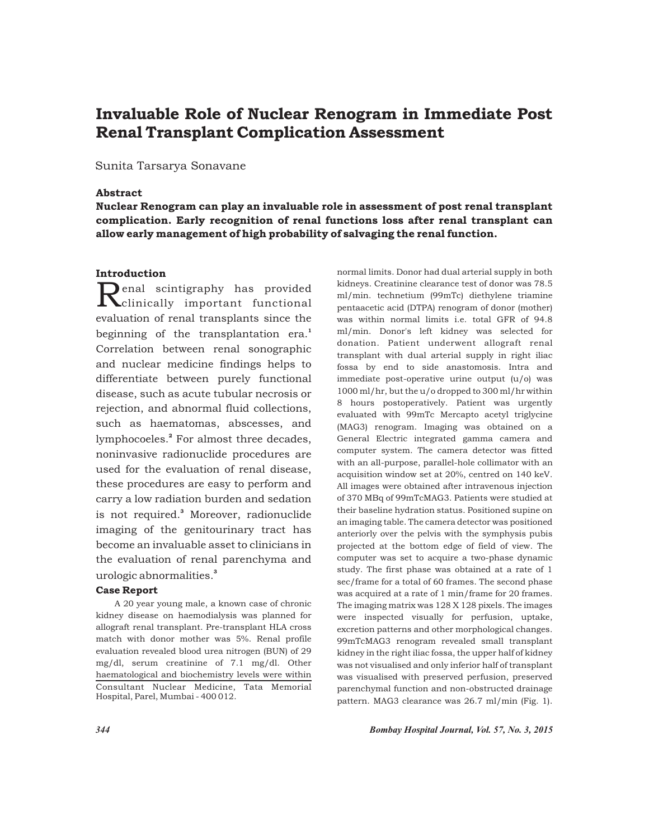# Invaluable Role of Nuclear Renogram in Immediate Post Renal Transplant Complication Assessment

## Sunita Tarsarya Sonavane

# Abstract

Nuclear Renogram can play an invaluable role in assessment of post renal transplant complication. Early recognition of renal functions loss after renal transplant can allow early management of high probability of salvaging the renal function.

# Introduction

 $\mathbf{R}_{\text{clinically important functional}}$ evaluation of renal transplants since the beginning of the transplantation era.<sup>1</sup> Correlation between renal sonographic and nuclear medicine findings helps to differentiate between purely functional disease, such as acute tubular necrosis or rejection, and abnormal fluid collections, such as haematomas, abscesses, and lymphocoeles.<sup>2</sup> For almost three decades, noninvasive radionuclide procedures are used for the evaluation of renal disease, these procedures are easy to perform and carry a low radiation burden and sedation is not required.<sup>3</sup> Moreover, radionuclide imaging of the genitourinary tract has become an invaluable asset to clinicians in the evaluation of renal parenchyma and urologic abnormalities.<sup>3</sup>

#### Case Report

A 20 year young male, a known case of chronic kidney disease on haemodialysis was planned for allograft renal transplant. Pre-transplant HLA cross match with donor mother was 5%. Renal profile evaluation revealed blood urea nitrogen (BUN) of 29 mg/dl, serum creatinine of 7.1 mg/dl. Other haematological and biochemistry levels were within Consultant Nuclear Medicine, Tata Memorial Hospital, Parel, Mumbai - 400 012.

normal limits. Donor had dual arterial supply in both kidneys. Creatinine clearance test of donor was 78.5 ml/min. technetium (99mTc) diethylene triamine pentaacetic acid (DTPA) renogram of donor (mother) was within normal limits i.e. total GFR of 94.8 ml/min. Donor's left kidney was selected for donation. Patient underwent allograft renal transplant with dual arterial supply in right iliac fossa by end to side anastomosis. Intra and immediate post-operative urine output (u/o) was 1000 ml/hr, but the u/o dropped to 300 ml/hr within 8 hours postoperatively. Patient was urgently evaluated with 99mTc Mercapto acetyl triglycine (MAG3) renogram. Imaging was obtained on a General Electric integrated gamma camera and computer system. The camera detector was fitted with an all-purpose, parallel-hole collimator with an acquisition window set at 20%, centred on 140 keV. All images were obtained after intravenous injection of 370 MBq of 99mTcMAG3. Patients were studied at their baseline hydration status. Positioned supine on an imaging table. The camera detector was positioned anteriorly over the pelvis with the symphysis pubis projected at the bottom edge of field of view. The computer was set to acquire a two-phase dynamic study. The first phase was obtained at a rate of 1 sec/frame for a total of 60 frames. The second phase was acquired at a rate of 1 min/frame for 20 frames. The imaging matrix was 128 X 128 pixels. The images were inspected visually for perfusion, uptake, excretion patterns and other morphological changes. 99mTcMAG3 renogram revealed small transplant kidney in the right iliac fossa, the upper half of kidney was not visualised and only inferior half of transplant was visualised with preserved perfusion, preserved parenchymal function and non-obstructed drainage pattern. MAG3 clearance was 26.7 ml/min (Fig. 1).

*344 Bombay Hospital Journal, Vol. 57, No. 3, 2015*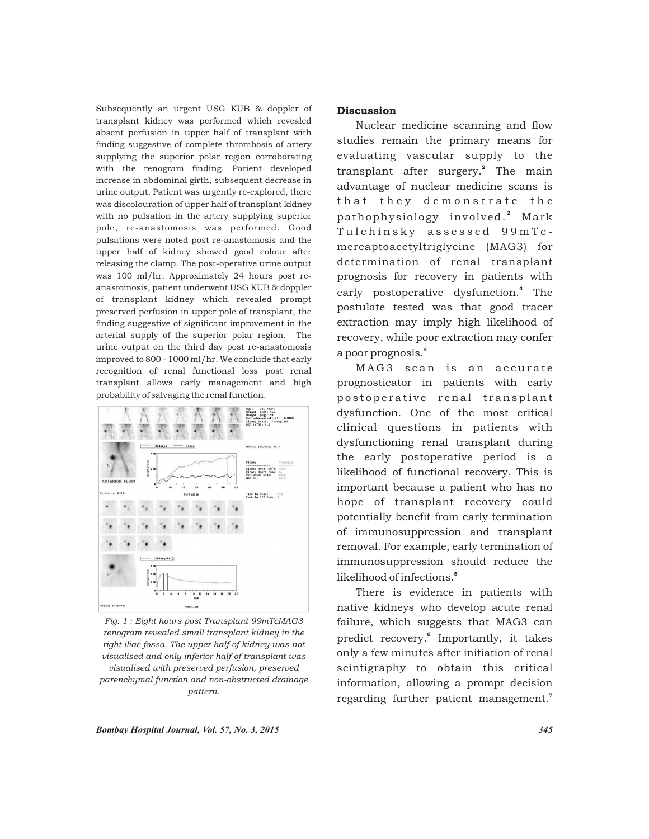Subsequently an urgent USG KUB & doppler of transplant kidney was performed which revealed absent perfusion in upper half of transplant with finding suggestive of complete thrombosis of artery supplying the superior polar region corroborating with the renogram finding. Patient developed increase in abdominal girth, subsequent decrease in urine output. Patient was urgently re-explored, there was discolouration of upper half of transplant kidney with no pulsation in the artery supplying superior pole, re-anastomosis was performed. Good pulsations were noted post re-anastomosis and the upper half of kidney showed good colour after releasing the clamp. The post-operative urine output was 100 ml/hr. Approximately 24 hours post reanastomosis, patient underwent USG KUB & doppler of transplant kidney which revealed prompt preserved perfusion in upper pole of transplant, the finding suggestive of significant improvement in the arterial supply of the superior polar region. The urine output on the third day post re-anastomosis improved to 800 - 1000 ml/hr. We conclude that early recognition of renal functional loss post renal transplant allows early management and high probability of salvaging the renal function.



*Fig. 1 : Eight hours post Transplant 99mTcMAG3 renogram revealed small transplant kidney in the right iliac fossa. The upper half of kidney was not visualised and only inferior half of transplant was visualised with preserved perfusion, preserved parenchymal function and non-obstructed drainage pattern.* 

# **Discussion**

Nuclear medicine scanning and flow studies remain the primary means for evaluating vascular supply to the transplant after surgery.<sup>2</sup> The main advantage of nuclear medicine scans is that they demonstrate the pathophysiology involved.<sup>2</sup> Mark Tulchinsky assessed 99mTcmercaptoacetyltriglycine (MAG3) for determination of renal transplant prognosis for recovery in patients with early postoperative dysfunction.<sup>4</sup> The postulate tested was that good tracer extraction may imply high likelihood of recovery, while poor extraction may confer 4 a poor prognosis.

MAG3 scan is an accurate prognosticator in patients with early postoperative renal transplant dysfunction. One of the most critical clinical questions in patients with dysfunctioning renal transplant during the early postoperative period is a likelihood of functional recovery. This is important because a patient who has no hope of transplant recovery could potentially benefit from early termination of immunosuppression and transplant removal. For example, early termination of immunosuppression should reduce the 5 likelihood of infections.

There is evidence in patients with native kidneys who develop acute renal failure, which suggests that MAG3 can predict recovery.<sup>6</sup> Importantly, it takes only a few minutes after initiation of renal scintigraphy to obtain this critical information, allowing a prompt decision regarding further patient management.<sup>7</sup>